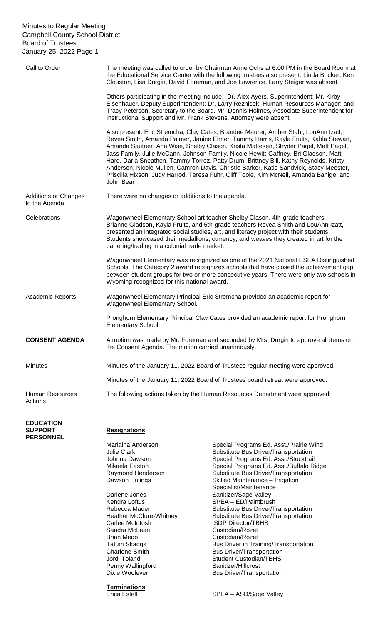| Call to Order                                          | The meeting was called to order by Chairman Anne Ochs at 6:00 PM in the Board Room at<br>the Educational Service Center with the following trustees also present: Linda Bricker, Ken<br>Clouston, Lisa Durgin, David Foreman, and Joe Lawrence. Larry Steiger was absent.                                                                                                                                                                                                                                                                                                                                                                              |  |
|--------------------------------------------------------|--------------------------------------------------------------------------------------------------------------------------------------------------------------------------------------------------------------------------------------------------------------------------------------------------------------------------------------------------------------------------------------------------------------------------------------------------------------------------------------------------------------------------------------------------------------------------------------------------------------------------------------------------------|--|
|                                                        | Others participating in the meeting include: Dr. Alex Ayers, Superintendent; Mr. Kirby<br>Eisenhauer, Deputy Superintendent; Dr. Larry Reznicek, Human Resources Manager; and<br>Tracy Peterson, Secretary to the Board. Mr. Dennis Holmes, Associate Superintendent for<br>Instructional Support and Mr. Frank Stevens, Attorney were absent.                                                                                                                                                                                                                                                                                                         |  |
|                                                        | Also present: Eric Stremcha, Clay Cates, Brandee Maurer, Amber Stahl, LouAnn Izatt,<br>Revea Smith, Amanda Palmer, Janine Ehrler, Tammy Harris, Kayla Fruits, Kahla Stewart,<br>Amanda Sautner, Ann Wise, Shelby Clason, Krista Mattesen, Stryder Pagel, Matt Pagel,<br>Jass Family, Julie McCann, Johnson Family, Nicole Hewitt-Gaffney, Bri Gladson, Matt<br>Hard, Darla Sneathen, Tammy Torrez, Patty Drum, Brittney Bill, Kathy Reynolds, Kristy<br>Anderson, Nicole Mullen, Camron Davis, Christie Barker, Katie Sandvick, Stacy Meester,<br>Priscilla Hixson, Judy Harrod, Teresa Fuhr, Cliff Toole, Kim McNeil, Amanda Bahige, and<br>John Bear |  |
| <b>Additions or Changes</b><br>to the Agenda           | There were no changes or additions to the agenda.                                                                                                                                                                                                                                                                                                                                                                                                                                                                                                                                                                                                      |  |
| Celebrations                                           | Wagonwheel Elementary School art teacher Shelby Clason, 4th-grade teachers<br>Brianne Gladson, Kayla Fruits, and 5th-grade teachers Revea Smith and LouAnn Izatt,<br>presented an integrated social studies, art, and literacy project with their students.<br>Students showcased their medallions, currency, and weaves they created in art for the<br>bartering/trading in a colonial trade market.                                                                                                                                                                                                                                                  |  |
|                                                        | Wagonwheel Elementary was recognized as one of the 2021 National ESEA Distinguished<br>Schools. The Category 2 award recognizes schools that have closed the achievement gap<br>between student groups for two or more consecutive years. There were only two schools in<br>Wyoming recognized for this national award.                                                                                                                                                                                                                                                                                                                                |  |
| <b>Academic Reports</b>                                | Wagonwheel Elementary Principal Eric Stremcha provided an academic report for<br>Wagonwheel Elementary School.                                                                                                                                                                                                                                                                                                                                                                                                                                                                                                                                         |  |
|                                                        | Pronghorn Elementary Principal Clay Cates provided an academic report for Pronghorn<br>Elementary School.                                                                                                                                                                                                                                                                                                                                                                                                                                                                                                                                              |  |
| <b>CONSENT AGENDA</b>                                  | A motion was made by Mr. Foreman and seconded by Mrs. Durgin to approve all items on<br>the Consent Agenda. The motion carried unanimously.                                                                                                                                                                                                                                                                                                                                                                                                                                                                                                            |  |
| <b>Minutes</b>                                         | Minutes of the January 11, 2022 Board of Trustees regular meeting were approved.                                                                                                                                                                                                                                                                                                                                                                                                                                                                                                                                                                       |  |
|                                                        | Minutes of the January 11, 2022 Board of Trustees board retreat were approved.                                                                                                                                                                                                                                                                                                                                                                                                                                                                                                                                                                         |  |
| <b>Human Resources</b><br>Actions                      | The following actions taken by the Human Resources Department were approved:                                                                                                                                                                                                                                                                                                                                                                                                                                                                                                                                                                           |  |
| <b>EDUCATION</b><br><b>SUPPORT</b><br><b>PERSONNEL</b> | <b>Resignations</b>                                                                                                                                                                                                                                                                                                                                                                                                                                                                                                                                                                                                                                    |  |

Darlene Jones Sanitizer/Sage Valley<br>
Kendra Loftus
SPEA – ED/Paintbrus Carlee McIntosh **ISDP** Director/TBHS Sandra McLean Custodian/Rozet<br>
Brian Mego Custodian/Rozet Brian Mego<br>
Tatum Skaggs<br>
Custodian/Rozet<br>
Bus Driver in Tra Jordi Toland<br>
Penny Wallingford<br>
Sanitizer/Hillcrest<br>
Sanitizer/Hillcrest Penny Wallingford<br>Dixie Woolever

**Terminations** 

Marlaina Anderson Special Programs Ed. Asst./Prairie Wind Substitute Bus Driver/Transportation Johnna Dawson Special Programs Ed. Asst./Stocktrail<br>Mikaela Easton Special Programs Ed. Asst./Buffalo Ri Special Programs Ed. Asst./Buffalo Ridge Raymond Henderson Substitute Bus Driver/Transportation Dawson Hulings **Skilled Maintenance** – Irrigation Specialist/Maintenance  $SPEA - ED\overline{P}$ aintbrush Rebecca Mader Substitute Bus Driver/Transportation<br>
Heather McClure-Whitney Substitute Bus Driver/Transportation Substitute Bus Driver/Transportation Tatum Skaggs<br>
Charlene Smith **Bus Driver/Transportation**<br>
Bus Driver/Transportation Bus Driver/Transportation Bus Driver/Transportation

Erica Estell SPEA – ASD/Sage Valley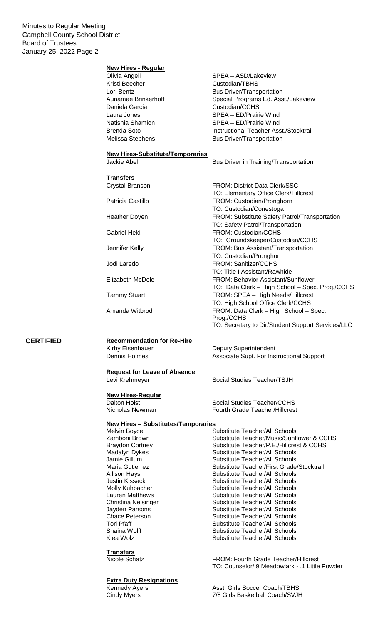#### **New Hires - Regular**

Olivia Angell SPEA – ASD/Lakeview Kristi Beecher Custodian/TBHS Daniela Garcia Custodian/CCHS

**New Hires-Substitute/Temporaries**

**Transfers**

# **CERTIFIED Recommendation for Re-Hire**<br>Kirby Eisenhauer

### **Request for Leave of Absence**

**New Hires-Regular**

### **New Hires – Substitutes/Temporaries**

#### **Transfers**

### **Extra Duty Resignations**

Lori Bentz **Bus Driver/Transportation** Aunamae Brinkerhoff Special Programs Ed. Asst./Lakeview Laura Jones SPEA – ED/Prairie Wind Natishia Shamion SPEA – ED/Prairie Wind Brenda Soto **Instructional Teacher Asst./Stocktrail** Melissa Stephens Bus Driver/Transportation

Jackie Abel **Bus Driver in Training/Transportation** 

Crystal Branson FROM: District Data Clerk/SSC TO: Elementary Office Clerk/Hillcrest Patricia Castillo FROM: Custodian/Pronghorn TO: Custodian/Conestoga Heather Doyen **FROM:** Substitute Safety Patrol/Transportation TO: Safety Patrol/Transportation Gabriel Held FROM: Custodian/CCHS TO: Groundskeeper/Custodian/CCHS Jennifer Kelly FROM: Bus Assistant/Transportation TO: Custodian/Pronghorn Jodi Laredo FROM: Sanitizer/CCHS TO: Title I Assistant/Rawhide Elizabeth McDole FROM: Behavior Assistant/Sunflower TO: Data Clerk – High School – Spec. Prog./CCHS Tammy Stuart FROM: SPEA – High Needs/Hillcrest TO: High School Office Clerk/CCHS Amanda Witbrod FROM: Data Clerk – High School – Spec. Prog./CCHS TO: Secretary to Dir/Student Support Services/LLC

Deputy Superintendent Dennis Holmes **Associate Supt. For Instructional Support** 

Levi Krehmeyer Social Studies Teacher/TSJH

Dalton Holst Social Studies Teacher/CCHS Fourth Grade Teacher/Hillcrest

Substitute Teacher/All Schools Zamboni Brown Substitute Teacher/Music/Sunflower & CCHS Braydon Cortney Substitute Teacher/P.E./Hillcrest & CCHS Madalyn Dykes Substitute Teacher/All Schools Jamie Gillum Substitute Teacher/All Schools Maria Gutierrez Substitute Teacher/First Grade/Stocktrail Allison Hays **Substitute Teacher/All Schools Justin Kissack Communisty Communisty Substitute Teacher/All Schools** Molly Kuhbacher Substitute Teacher/All Schools Lauren Matthews **Substitute Teacher/All Schools** Christina Neisinger Substitute Teacher/All Schools<br>
Jayden Parsons Substitute Teacher/All Schools Jayden Parsons Substitute Teacher/All Schools<br>
Chace Peterson Substitute Teacher/All Schools Substitute Teacher/All Schools Tori Pfaff **Substitute Teacher/All Schools**<br>
Substitute Teacher/All Schools<br>
Substitute Teacher/All Schools Shaina Wolff **Substitute Teacher/All Schools**<br>
Klea Wolz **Substitute Teacher/All Schools** Substitute Teacher/All Schools

Nicole Schatz FROM: Fourth Grade Teacher/Hillcrest TO: Counselor/.9 Meadowlark - .1 Little Powder

Kennedy Ayers **Asst. Girls Soccer Coach/TBHS**<br>Cindy Myers **Asst. Girls Basketball Coach/SVJ** 7/8 Girls Basketball Coach/SVJH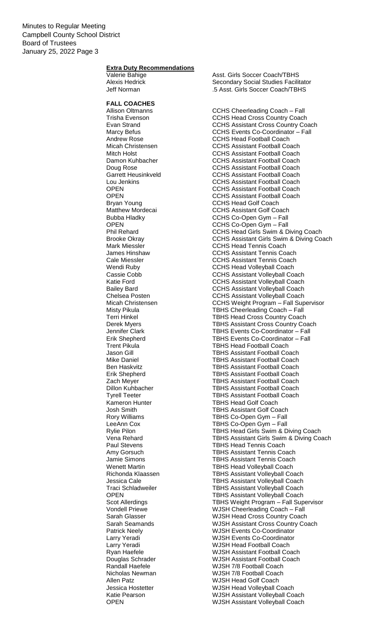### **Extra Duty Recommendations**

## **FALL COACHES**

Valerie Bahige **Asst.** Girls Soccer Coach/TBHS Alexis Hedrick **Secondary Social Studies Facilitator**<br>
S Asst. Girls Soccer Coach/TBHS .5 Asst. Girls Soccer Coach/TBHS

CCHS Cheerleading Coach – Fall Trisha Evenson CCHS Head Cross Country Coach Evan Strand **Evan Strand CCHS** Assistant Cross Country Coach Marcy Befus **CCHS** Events Co-Coordinator – Fall Andrew Rose **CCHS** Head Football Coach Micah Christensen CCHS Assistant Football Coach Mitch Holst CCHS Assistant Football Coach<br>Damon Kuhbacher CCHS Assistant Football Coach CCHS Assistant Football Coach Doug Rose CCHS Assistant Football Coach<br>Garrett Heusinkveld CCHS Assistant Football Coach CCHS Assistant Football Coach Lou Jenkins CCHS Assistant Football Coach OPEN CCHS Assistant Football Coach<br>
OPEN CCHS Assistant Football Coach **CCHS Assistant Football Coach** Bryan Young **CCHS** Head Golf Coach Matthew Mordecai **CCHS** Assistant Golf Coach Bubba Hladky CCHS Co-Open Gym – Fall OPEN CCHS Co-Open Gym – Fall CCHS Head Girls Swim & Diving Coach Brooke Okray **CCHS** Assistant Girls Swim & Diving Coach Mark Miessler **CCHS** Head Tennis Coach James Hinshaw CCHS Assistant Tennis Coach Cale Miessler CCHS Assistant Tennis Coach Wendi Ruby CCHS Head Volleyball Coach<br>Cassie Cobb Cassie Cobb CCHS Assistant Volleyball Coa CCHS Assistant Volleyball Coach Katie Ford **CCHS** Assistant Volleyball Coach Bailey Bard **CCHS** Assistant Volleyball Coach Chelsea Posten CCHS Assistant Volleyball Coach Micah Christensen CCHS Weight Program – Fall Supervisor Misty Pikula **TBHS Cheerleading Coach – Fall** Terri Hinkel **TBHS Head Cross Country Coach** Derek Myers TBHS Assistant Cross Country Coach<br>
Jennifer Clark TBHS Events Co-Coordinator – Fall TBHS Events Co-Coordinator - Fall Erik Shepherd TBHS Events Co-Coordinator – Fall Trent Pikula TBHS Head Football Coach Jason Gill TBHS Assistant Football Coach **TBHS Assistant Football Coach** Ben Haskvitz TBHS Assistant Football Coach Erik Shepherd TBHS Assistant Football Coach **Zach Meyer Communist Coach Coach Coach Coach Coach Coach Coach Coach Coach Coach Coach Coach Coach Coach Coach**<br>
TBHS Assistant Football Coach TBHS Assistant Football Coach Tyrell Teeter TBHS Assistant Football Coach Kameron Hunter TBHS Head Golf Coach<br>
Josh Smith TBHS Assistant Golf Co TBHS Assistant Golf Coach Rory Williams TBHS Co-Open Gym – Fall LeeAnn Cox TBHS Co-Open Gym – Fall<br>Rylie Pilon TBHS Head Girls Swim & D TBHS Head Girls Swim & Diving Coach Vena Rehard TBHS Assistant Girls Swim & Diving Coach Paul Stevens TBHS Head Tennis Coach<br>
Amy Gorsuch TBHS Assistant Tennis Co **TBHS Assistant Tennis Coach** Jamie Simons TBHS Assistant Tennis Coach Wenett Martin **National Communist Coach** TBHS Head Volleyball Coach Richonda Klaassen TBHS Assistant Volleyball Coach Jessica Cale TBHS Assistant Volleyball Coach TBHS Assistant Volleyball Coach OPEN TBHS Assistant Volleyball Coach Scot Allerdings TBHS Weight Program – Fall Supervisor<br>
Vondell Priewe WJSH Cheerleading Coach – Fall Vondell Priewe **WJSH Cheerleading Coach – Fall**<br>
Sarah Glasser **MUSH Head Cross Country Coach** WJSH Head Cross Country Coach Sarah Seamands<br>
Patrick Neely<br>
WJSH Events Co-Coordinator<br>
WISH Events Co-Coordinator **WJSH Events Co-Coordinator** Larry Yeradi WJSH Events Co-Coordinator Larry Yeradi National Coach Nuncombo WJSH Head Football Coach<br>
Ryan Haefele Nuncombo WJSH Assistant Football Co WJSH Assistant Football Coach Douglas Schrader WJSH Assistant Football Coach WJSH 7/8 Football Coach Nicholas Newman WJSH 7/8 Football Coach Allen Patz WJSH Head Golf Coach Jessica Hostetter WJSH Head Volleyball Coach Katie Pearson **WJSH Assistant Volleyball Coach** OPEN WJSH Assistant Volleyball Coach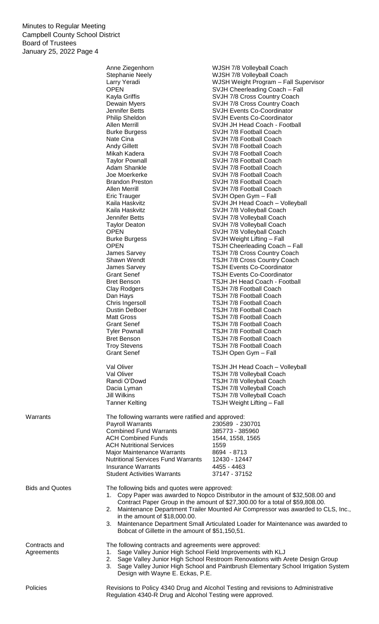|                                                                             | Anne Ziegenhorn                                                                   | WJSH 7/8 Volleyball Coach                                                            |  |
|-----------------------------------------------------------------------------|-----------------------------------------------------------------------------------|--------------------------------------------------------------------------------------|--|
|                                                                             | <b>Stephanie Neely</b>                                                            | WJSH 7/8 Volleyball Coach                                                            |  |
|                                                                             | Larry Yeradi                                                                      | WJSH Weight Program - Fall Supervisor                                                |  |
|                                                                             | <b>OPEN</b>                                                                       | SVJH Cheerleading Coach - Fall                                                       |  |
|                                                                             | Kayla Griffis                                                                     | SVJH 7/8 Cross Country Coach                                                         |  |
|                                                                             | Dewain Myers<br>Jennifer Betts                                                    | SVJH 7/8 Cross Country Coach<br><b>SVJH Events Co-Coordinator</b>                    |  |
|                                                                             |                                                                                   | <b>SVJH Events Co-Coordinator</b>                                                    |  |
|                                                                             | <b>Philip Sheldon</b><br>Allen Merrill                                            | SVJH JH Head Coach - Football                                                        |  |
|                                                                             | <b>Burke Burgess</b>                                                              | SVJH 7/8 Football Coach                                                              |  |
|                                                                             | Nate Cina                                                                         | SVJH 7/8 Football Coach                                                              |  |
|                                                                             | <b>Andy Gillett</b>                                                               | SVJH 7/8 Football Coach                                                              |  |
|                                                                             | Mikah Kadera                                                                      | SVJH 7/8 Football Coach                                                              |  |
|                                                                             | <b>Taylor Pownall</b>                                                             | SVJH 7/8 Football Coach                                                              |  |
|                                                                             | Adam Shankle                                                                      | SVJH 7/8 Football Coach                                                              |  |
|                                                                             | Joe Moerkerke                                                                     | SVJH 7/8 Football Coach                                                              |  |
|                                                                             | <b>Brandon Preston</b>                                                            | SVJH 7/8 Football Coach                                                              |  |
|                                                                             | <b>Allen Merrill</b>                                                              | SVJH 7/8 Football Coach                                                              |  |
|                                                                             | <b>Eric Trauger</b>                                                               | SVJH Open Gym - Fall                                                                 |  |
|                                                                             | Kaila Haskvitz                                                                    | SVJH JH Head Coach - Volleyball                                                      |  |
|                                                                             | Kaila Haskvitz                                                                    | SVJH 7/8 Volleyball Coach                                                            |  |
|                                                                             | Jennifer Betts                                                                    | SVJH 7/8 Volleyball Coach                                                            |  |
|                                                                             | <b>Taylor Deaton</b>                                                              | SVJH 7/8 Volleyball Coach                                                            |  |
|                                                                             | <b>OPEN</b>                                                                       | SVJH 7/8 Volleyball Coach                                                            |  |
|                                                                             | <b>Burke Burgess</b><br><b>OPEN</b>                                               | SVJH Weight Lifting - Fall<br><b>TSJH Cheerleading Coach - Fall</b>                  |  |
|                                                                             | James Sarvey                                                                      | TSJH 7/8 Cross Country Coach                                                         |  |
|                                                                             | Shawn Wendt                                                                       | TSJH 7/8 Cross Country Coach                                                         |  |
|                                                                             | James Sarvey                                                                      | <b>TSJH Events Co-Coordinator</b>                                                    |  |
|                                                                             | <b>Grant Senef</b>                                                                | <b>TSJH Events Co-Coordinator</b>                                                    |  |
|                                                                             | <b>Bret Benson</b>                                                                | TSJH JH Head Coach - Football                                                        |  |
|                                                                             | Clay Rodgers                                                                      | <b>TSJH 7/8 Football Coach</b>                                                       |  |
|                                                                             | Dan Hays                                                                          | <b>TSJH 7/8 Football Coach</b>                                                       |  |
|                                                                             | Chris Ingersoll                                                                   | <b>TSJH 7/8 Football Coach</b>                                                       |  |
|                                                                             | <b>Dustin DeBoer</b>                                                              | <b>TSJH 7/8 Football Coach</b>                                                       |  |
|                                                                             | <b>Matt Gross</b>                                                                 | <b>TSJH 7/8 Football Coach</b>                                                       |  |
|                                                                             | <b>Grant Senef</b>                                                                | <b>TSJH 7/8 Football Coach</b>                                                       |  |
|                                                                             | <b>Tyler Pownall</b>                                                              | <b>TSJH 7/8 Football Coach</b>                                                       |  |
|                                                                             | <b>Bret Benson</b>                                                                | <b>TSJH 7/8 Football Coach</b>                                                       |  |
|                                                                             | <b>Troy Stevens</b>                                                               | TSJH 7/8 Football Coach                                                              |  |
|                                                                             | <b>Grant Senef</b>                                                                | TSJH Open Gym - Fall                                                                 |  |
|                                                                             | Val Oliver                                                                        | <b>TSJH JH Head Coach - Volleyball</b>                                               |  |
|                                                                             | Val Oliver                                                                        | TSJH 7/8 Volleyball Coach                                                            |  |
|                                                                             | Randi O'Dowd                                                                      | TSJH 7/8 Volleyball Coach                                                            |  |
|                                                                             | Dacia Lyman                                                                       | TSJH 7/8 Volleyball Coach                                                            |  |
|                                                                             | <b>Jill Wilkins</b>                                                               | TSJH 7/8 Volleyball Coach                                                            |  |
|                                                                             | <b>Tanner Kelting</b>                                                             | TSJH Weight Lifting - Fall                                                           |  |
|                                                                             |                                                                                   |                                                                                      |  |
| Warrants                                                                    | The following warrants were ratified and approved:                                |                                                                                      |  |
|                                                                             | <b>Payroll Warrants</b>                                                           | 230589 - 230701                                                                      |  |
|                                                                             | <b>Combined Fund Warrants</b>                                                     | 385773 - 385960                                                                      |  |
|                                                                             | <b>ACH Combined Funds</b>                                                         | 1544, 1558, 1565                                                                     |  |
|                                                                             | <b>ACH Nutritional Services</b>                                                   | 1559                                                                                 |  |
|                                                                             | Major Maintenance Warrants                                                        | 8694 - 8713                                                                          |  |
|                                                                             | <b>Nutritional Services Fund Warrants</b><br><b>Insurance Warrants</b>            | 12430 - 12447<br>4455 - 4463                                                         |  |
|                                                                             | <b>Student Activities Warrants</b>                                                | 37147 - 37152                                                                        |  |
|                                                                             |                                                                                   |                                                                                      |  |
| <b>Bids and Quotes</b>                                                      | The following bids and quotes were approved:                                      |                                                                                      |  |
|                                                                             |                                                                                   | 1. Copy Paper was awarded to Nopco Distributor in the amount of \$32,508.00 and      |  |
|                                                                             |                                                                                   | Contract Paper Group in the amount of \$27,300.00 for a total of \$59,808.00.        |  |
|                                                                             |                                                                                   | 2. Maintenance Department Trailer Mounted Air Compressor was awarded to CLS, Inc.,   |  |
|                                                                             | in the amount of \$18,000.00.                                                     |                                                                                      |  |
|                                                                             |                                                                                   | 3. Maintenance Department Small Articulated Loader for Maintenance was awarded to    |  |
|                                                                             | Bobcat of Gillette in the amount of \$51,150,51.                                  |                                                                                      |  |
| Contracts and                                                               | The following contracts and agreements were approved:                             |                                                                                      |  |
| 1. Sage Valley Junior High School Field Improvements with KLJ<br>Agreements |                                                                                   |                                                                                      |  |
|                                                                             |                                                                                   | 2. Sage Valley Junior High School Restroom Renovations with Arete Design Group       |  |
|                                                                             |                                                                                   | 3. Sage Valley Junior High School and Paintbrush Elementary School Irrigation System |  |
|                                                                             | Design with Wayne E. Eckas, P.E.                                                  |                                                                                      |  |
|                                                                             |                                                                                   |                                                                                      |  |
| Policies                                                                    | Revisions to Policy 4340 Drug and Alcohol Testing and revisions to Administrative |                                                                                      |  |
|                                                                             | Regulation 4340-R Drug and Alcohol Testing were approved.                         |                                                                                      |  |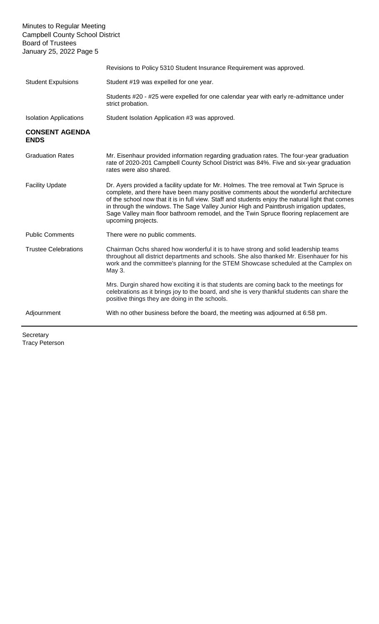Minutes to Regular Meeting Campbell County School District Board of Trustees January 25, 2022 Page 5 Revisions to Policy 5310 Student Insurance Requirement was approved. Student Expulsions Student #19 was expelled for one year. Students #20 - #25 were expelled for one calendar year with early re-admittance under strict probation. Isolation Applications Student Isolation Application #3 was approved. **CONSENT AGENDA ENDS** Graduation Rates Mr. Eisenhaur provided information regarding graduation rates. The four-year graduation rate of 2020-201 Campbell County School District was 84%. Five and six-year graduation rates were also shared. Facility Update **Dr.** Ayers provided a facility update for Mr. Holmes. The tree removal at Twin Spruce is complete, and there have been many positive comments about the wonderful architecture of the school now that it is in full view. Staff and students enjoy the natural light that comes in through the windows. The Sage Valley Junior High and Paintbrush irrigation updates, Sage Valley main floor bathroom remodel, and the Twin Spruce flooring replacement are upcoming projects. Public Comments There were no public comments. Trustee Celebrations Chairman Ochs shared how wonderful it is to have strong and solid leadership teams throughout all district departments and schools. She also thanked Mr. Eisenhauer for his work and the committee's planning for the STEM Showcase scheduled at the Camplex on May 3. Mrs. Durgin shared how exciting it is that students are coming back to the meetings for celebrations as it brings joy to the board, and she is very thankful students can share the positive things they are doing in the schools. Adjournment With no other business before the board, the meeting was adjourned at 6:58 pm.

**Secretary** Tracy Peterson